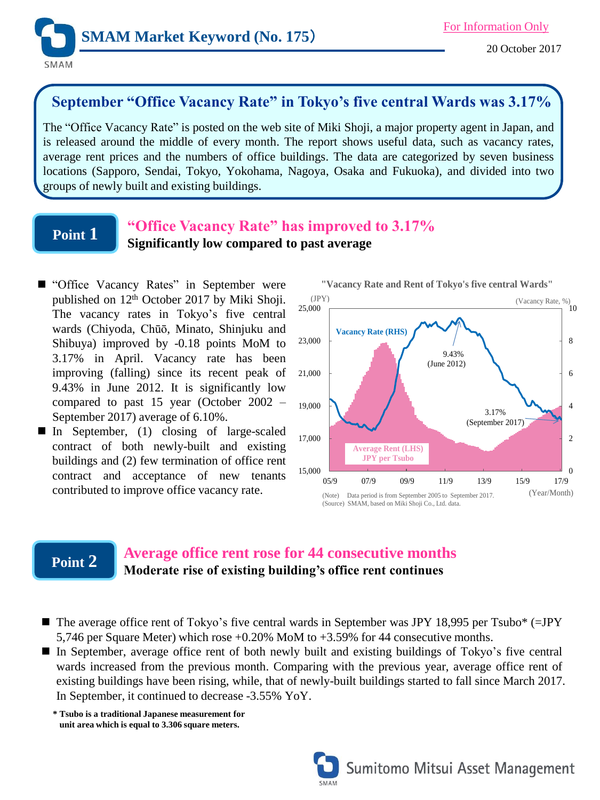

## **September "Office Vacancy Rate" in Tokyo's five central Wards was 3.17%**

The "Office Vacancy Rate" is posted on the web site of Miki Shoji, a major property agent in Japan, and is released around the middle of every month. The report shows useful data, such as vacancy rates, average rent prices and the numbers of office buildings. The data are categorized by seven business locations (Sapporo, Sendai, Tokyo, Yokohama, Nagoya, Osaka and Fukuoka), and divided into two groups of newly built and existing buildings.

### **Point 1**

#### **"Office Vacancy Rate" has improved to 3.17% Significantly low compared to past average**

- "Office Vacancy Rates" in September were published on 12<sup>th</sup> October 2017 by Miki Shoji. The vacancy rates in Tokyo's five central wards (Chiyoda, Chūō, Minato, Shinjuku and Shibuya) improved by -0.18 points MoM to 3.17% in April. Vacancy rate has been improving (falling) since its recent peak of 9.43% in June 2012. It is significantly low compared to past 15 year (October 2002 – September 2017) average of 6.10%.
- In September,  $(1)$  closing of large-scaled contract of both newly-built and existing buildings and (2) few termination of office rent contract and acceptance of new tenants contributed to improve office vacancy rate.



### **Point 2**

### **Average office rent rose for 44 consecutive months Moderate rise of existing building's office rent continues**

- $\blacksquare$  The average office rent of Tokyo's five central wards in September was JPY 18,995 per Tsubo\* (=JPY) 5,746 per Square Meter) which rose +0.20% MoM to +3.59% for 44 consecutive months.
- In September, average office rent of both newly built and existing buildings of Tokyo's five central wards increased from the previous month. Comparing with the previous year, average office rent of existing buildings have been rising, while, that of newly-built buildings started to fall since March 2017. In September, it continued to decrease -3.55% YoY.

**\* Tsubo is a traditional Japanese measurement for unit area which is equal to 3.306 square meters.**